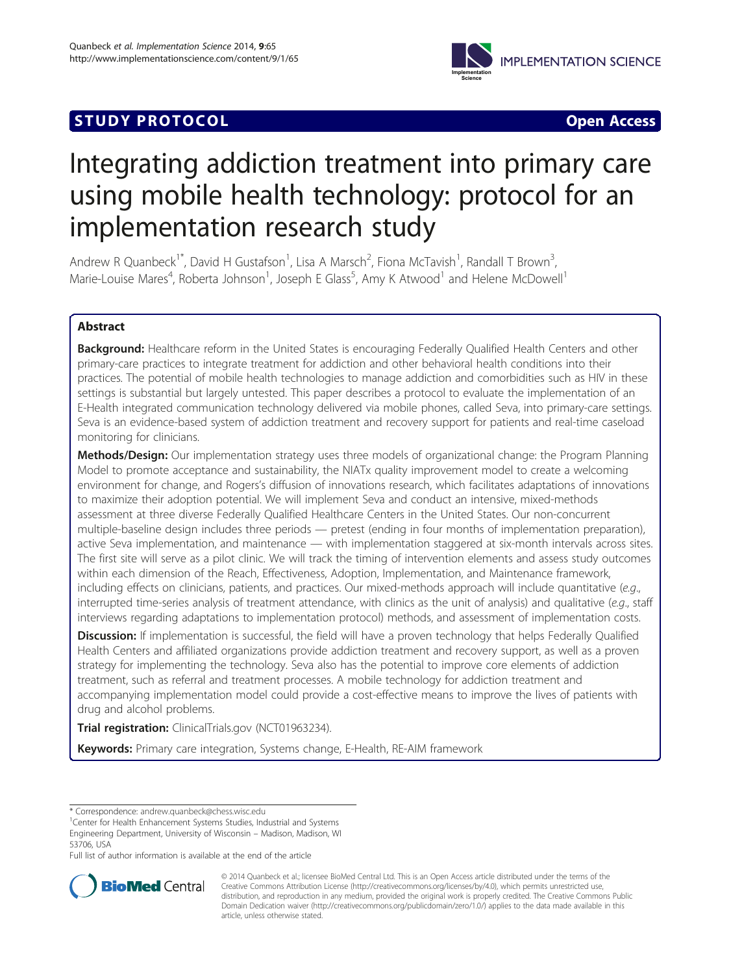# **STUDY PROTOCOL CONSUMING THE CONSUMING OPEN ACCESS**



# Integrating addiction treatment into primary care using mobile health technology: protocol for an implementation research study

Andrew R Quanbeck<sup>1\*</sup>, David H Gustafson<sup>1</sup>, Lisa A Marsch<sup>2</sup>, Fiona McTavish<sup>1</sup>, Randall T Brown<sup>3</sup> , Marie-Louise Mares<sup>4</sup>, Roberta Johnson<sup>1</sup>, Joseph E Glass<sup>5</sup>, Amy K Atwood<sup>1</sup> and Helene McDowell<sup>1</sup>

# Abstract

Background: Healthcare reform in the United States is encouraging Federally Qualified Health Centers and other primary-care practices to integrate treatment for addiction and other behavioral health conditions into their practices. The potential of mobile health technologies to manage addiction and comorbidities such as HIV in these settings is substantial but largely untested. This paper describes a protocol to evaluate the implementation of an E-Health integrated communication technology delivered via mobile phones, called Seva, into primary-care settings. Seva is an evidence-based system of addiction treatment and recovery support for patients and real-time caseload monitoring for clinicians.

Methods/Design: Our implementation strategy uses three models of organizational change: the Program Planning Model to promote acceptance and sustainability, the NIATx quality improvement model to create a welcoming environment for change, and Rogers's diffusion of innovations research, which facilitates adaptations of innovations to maximize their adoption potential. We will implement Seva and conduct an intensive, mixed-methods assessment at three diverse Federally Qualified Healthcare Centers in the United States. Our non-concurrent multiple-baseline design includes three periods — pretest (ending in four months of implementation preparation), active Seva implementation, and maintenance — with implementation staggered at six-month intervals across sites. The first site will serve as a pilot clinic. We will track the timing of intervention elements and assess study outcomes within each dimension of the Reach, Effectiveness, Adoption, Implementation, and Maintenance framework, including effects on clinicians, patients, and practices. Our mixed-methods approach will include quantitative (e.g., interrupted time-series analysis of treatment attendance, with clinics as the unit of analysis) and qualitative (e.g., staff interviews regarding adaptations to implementation protocol) methods, and assessment of implementation costs.

Discussion: If implementation is successful, the field will have a proven technology that helps Federally Qualified Health Centers and affiliated organizations provide addiction treatment and recovery support, as well as a proven strategy for implementing the technology. Seva also has the potential to improve core elements of addiction treatment, such as referral and treatment processes. A mobile technology for addiction treatment and accompanying implementation model could provide a cost-effective means to improve the lives of patients with drug and alcohol problems.

Trial registration: ClinicalTrials.gov ([NCT01963234\)](http://www.clinicaltrials.gov/ct2/show/NCT01963234).

**Keywords:** Primary care integration, Systems change, E-Health, RE-AIM framework

Full list of author information is available at the end of the article



<sup>© 2014</sup> Quanbeck et al.; licensee BioMed Central Ltd. This is an Open Access article distributed under the terms of the Creative Commons Attribution License (<http://creativecommons.org/licenses/by/4.0>), which permits unrestricted use, distribution, and reproduction in any medium, provided the original work is properly credited. The Creative Commons Public Domain Dedication waiver [\(http://creativecommons.org/publicdomain/zero/1.0/\)](http://creativecommons.org/publicdomain/zero/1.0/) applies to the data made available in this article, unless otherwise stated.

<sup>\*</sup> Correspondence: [andrew.quanbeck@chess.wisc.edu](mailto:andrew.quanbeck@chess.wisc.edu) <sup>1</sup>

<sup>&</sup>lt;sup>1</sup> Center for Health Enhancement Systems Studies, Industrial and Systems Engineering Department, University of Wisconsin – Madison, Madison, WI 53706, USA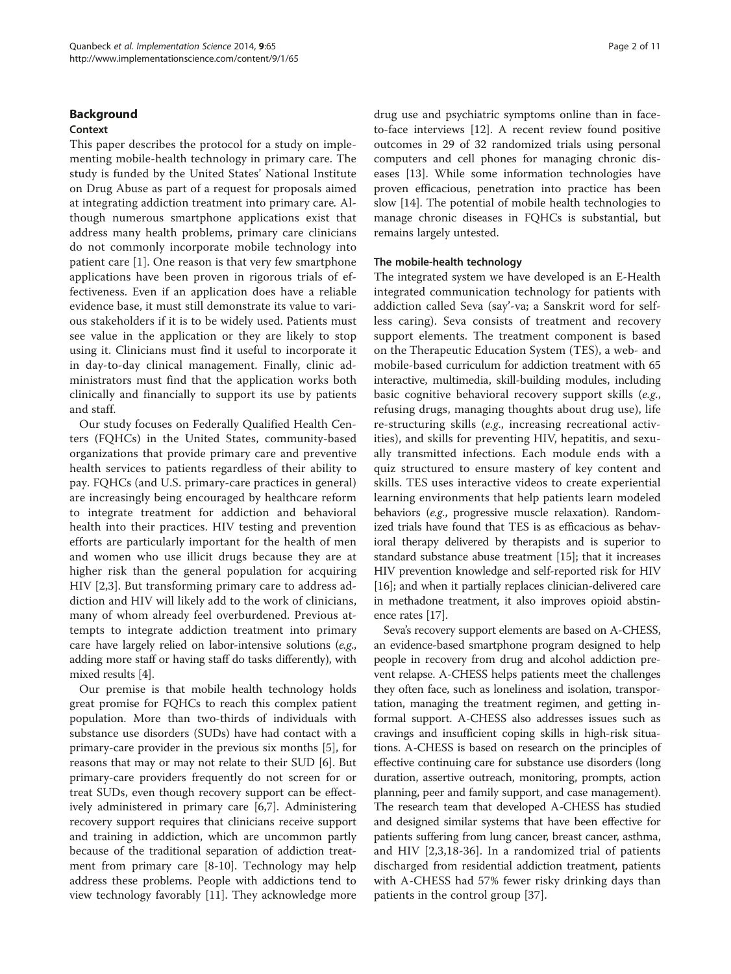#### Background

# Context

This paper describes the protocol for a study on implementing mobile-health technology in primary care. The study is funded by the United States' National Institute on Drug Abuse as part of a request for proposals aimed at integrating addiction treatment into primary care. Although numerous smartphone applications exist that address many health problems, primary care clinicians do not commonly incorporate mobile technology into patient care [[1\]](#page-9-0). One reason is that very few smartphone applications have been proven in rigorous trials of effectiveness. Even if an application does have a reliable evidence base, it must still demonstrate its value to various stakeholders if it is to be widely used. Patients must see value in the application or they are likely to stop using it. Clinicians must find it useful to incorporate it in day-to-day clinical management. Finally, clinic administrators must find that the application works both clinically and financially to support its use by patients and staff.

Our study focuses on Federally Qualified Health Centers (FQHCs) in the United States, community-based organizations that provide primary care and preventive health services to patients regardless of their ability to pay. FQHCs (and U.S. primary-care practices in general) are increasingly being encouraged by healthcare reform to integrate treatment for addiction and behavioral health into their practices. HIV testing and prevention efforts are particularly important for the health of men and women who use illicit drugs because they are at higher risk than the general population for acquiring HIV [[2,3](#page-9-0)]. But transforming primary care to address addiction and HIV will likely add to the work of clinicians, many of whom already feel overburdened. Previous attempts to integrate addiction treatment into primary care have largely relied on labor-intensive solutions (e.g., adding more staff or having staff do tasks differently), with mixed results [[4\]](#page-9-0).

Our premise is that mobile health technology holds great promise for FQHCs to reach this complex patient population. More than two-thirds of individuals with substance use disorders (SUDs) have had contact with a primary-care provider in the previous six months [[5\]](#page-9-0), for reasons that may or may not relate to their SUD [[6\]](#page-9-0). But primary-care providers frequently do not screen for or treat SUDs, even though recovery support can be effectively administered in primary care [\[6,7](#page-9-0)]. Administering recovery support requires that clinicians receive support and training in addiction, which are uncommon partly because of the traditional separation of addiction treatment from primary care [[8-10\]](#page-9-0). Technology may help address these problems. People with addictions tend to view technology favorably [\[11](#page-9-0)]. They acknowledge more drug use and psychiatric symptoms online than in faceto-face interviews [[12](#page-9-0)]. A recent review found positive outcomes in 29 of 32 randomized trials using personal computers and cell phones for managing chronic diseases [[13\]](#page-9-0). While some information technologies have proven efficacious, penetration into practice has been slow [\[14](#page-9-0)]. The potential of mobile health technologies to manage chronic diseases in FQHCs is substantial, but remains largely untested.

#### The mobile-health technology

The integrated system we have developed is an E-Health integrated communication technology for patients with addiction called Seva (say'-va; a Sanskrit word for selfless caring). Seva consists of treatment and recovery support elements. The treatment component is based on the Therapeutic Education System (TES), a web- and mobile-based curriculum for addiction treatment with 65 interactive, multimedia, skill-building modules, including basic cognitive behavioral recovery support skills (e.g., refusing drugs, managing thoughts about drug use), life re-structuring skills (e.g., increasing recreational activities), and skills for preventing HIV, hepatitis, and sexually transmitted infections. Each module ends with a quiz structured to ensure mastery of key content and skills. TES uses interactive videos to create experiential learning environments that help patients learn modeled behaviors (e.g., progressive muscle relaxation). Randomized trials have found that TES is as efficacious as behavioral therapy delivered by therapists and is superior to standard substance abuse treatment [\[15\]](#page-9-0); that it increases HIV prevention knowledge and self-reported risk for HIV [[16](#page-9-0)]; and when it partially replaces clinician-delivered care in methadone treatment, it also improves opioid abstinence rates [\[17\]](#page-9-0).

Seva's recovery support elements are based on A-CHESS, an evidence-based smartphone program designed to help people in recovery from drug and alcohol addiction prevent relapse. A-CHESS helps patients meet the challenges they often face, such as loneliness and isolation, transportation, managing the treatment regimen, and getting informal support. A-CHESS also addresses issues such as cravings and insufficient coping skills in high-risk situations. A-CHESS is based on research on the principles of effective continuing care for substance use disorders (long duration, assertive outreach, monitoring, prompts, action planning, peer and family support, and case management). The research team that developed A-CHESS has studied and designed similar systems that have been effective for patients suffering from lung cancer, breast cancer, asthma, and HIV [\[2](#page-9-0),[3,18-36\]](#page-9-0). In a randomized trial of patients discharged from residential addiction treatment, patients with A-CHESS had 57% fewer risky drinking days than patients in the control group [\[37](#page-10-0)].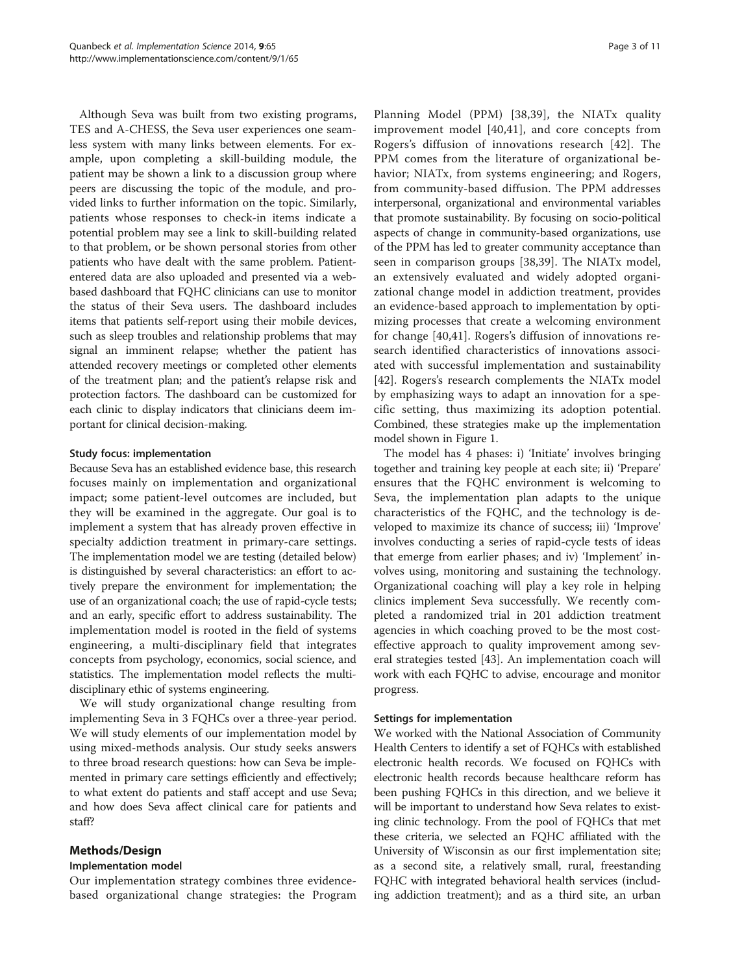Although Seva was built from two existing programs, TES and A-CHESS, the Seva user experiences one seamless system with many links between elements. For example, upon completing a skill-building module, the patient may be shown a link to a discussion group where peers are discussing the topic of the module, and provided links to further information on the topic. Similarly, patients whose responses to check-in items indicate a potential problem may see a link to skill-building related to that problem, or be shown personal stories from other patients who have dealt with the same problem. Patiententered data are also uploaded and presented via a webbased dashboard that FQHC clinicians can use to monitor the status of their Seva users. The dashboard includes items that patients self-report using their mobile devices, such as sleep troubles and relationship problems that may signal an imminent relapse; whether the patient has attended recovery meetings or completed other elements of the treatment plan; and the patient's relapse risk and protection factors. The dashboard can be customized for each clinic to display indicators that clinicians deem important for clinical decision-making.

# Study focus: implementation

Because Seva has an established evidence base, this research focuses mainly on implementation and organizational impact; some patient-level outcomes are included, but they will be examined in the aggregate. Our goal is to implement a system that has already proven effective in specialty addiction treatment in primary-care settings. The implementation model we are testing (detailed below) is distinguished by several characteristics: an effort to actively prepare the environment for implementation; the use of an organizational coach; the use of rapid-cycle tests; and an early, specific effort to address sustainability. The implementation model is rooted in the field of systems engineering, a multi-disciplinary field that integrates concepts from psychology, economics, social science, and statistics. The implementation model reflects the multidisciplinary ethic of systems engineering.

We will study organizational change resulting from implementing Seva in 3 FQHCs over a three-year period. We will study elements of our implementation model by using mixed-methods analysis. Our study seeks answers to three broad research questions: how can Seva be implemented in primary care settings efficiently and effectively; to what extent do patients and staff accept and use Seva; and how does Seva affect clinical care for patients and staff?

# Methods/Design

# Implementation model

Our implementation strategy combines three evidencebased organizational change strategies: the Program

Planning Model (PPM) [[38,39](#page-10-0)], the NIATx quality improvement model [\[40,41](#page-10-0)], and core concepts from Rogers's diffusion of innovations research [[42\]](#page-10-0). The PPM comes from the literature of organizational behavior; NIATx, from systems engineering; and Rogers, from community-based diffusion. The PPM addresses interpersonal, organizational and environmental variables that promote sustainability. By focusing on socio-political aspects of change in community-based organizations, use of the PPM has led to greater community acceptance than seen in comparison groups [[38,39\]](#page-10-0). The NIATx model, an extensively evaluated and widely adopted organizational change model in addiction treatment, provides an evidence-based approach to implementation by optimizing processes that create a welcoming environment for change [[40,41](#page-10-0)]. Rogers's diffusion of innovations research identified characteristics of innovations associated with successful implementation and sustainability [[42\]](#page-10-0). Rogers's research complements the NIATx model by emphasizing ways to adapt an innovation for a specific setting, thus maximizing its adoption potential. Combined, these strategies make up the implementation model shown in Figure [1](#page-3-0).

The model has 4 phases: i) 'Initiate' involves bringing together and training key people at each site; ii) 'Prepare' ensures that the FQHC environment is welcoming to Seva, the implementation plan adapts to the unique characteristics of the FQHC, and the technology is developed to maximize its chance of success; iii) 'Improve' involves conducting a series of rapid-cycle tests of ideas that emerge from earlier phases; and iv) 'Implement' involves using, monitoring and sustaining the technology. Organizational coaching will play a key role in helping clinics implement Seva successfully. We recently completed a randomized trial in 201 addiction treatment agencies in which coaching proved to be the most costeffective approach to quality improvement among several strategies tested [[43\]](#page-10-0). An implementation coach will work with each FQHC to advise, encourage and monitor progress.

#### Settings for implementation

We worked with the National Association of Community Health Centers to identify a set of FQHCs with established electronic health records. We focused on FQHCs with electronic health records because healthcare reform has been pushing FQHCs in this direction, and we believe it will be important to understand how Seva relates to existing clinic technology. From the pool of FQHCs that met these criteria, we selected an FQHC affiliated with the University of Wisconsin as our first implementation site; as a second site, a relatively small, rural, freestanding FQHC with integrated behavioral health services (including addiction treatment); and as a third site, an urban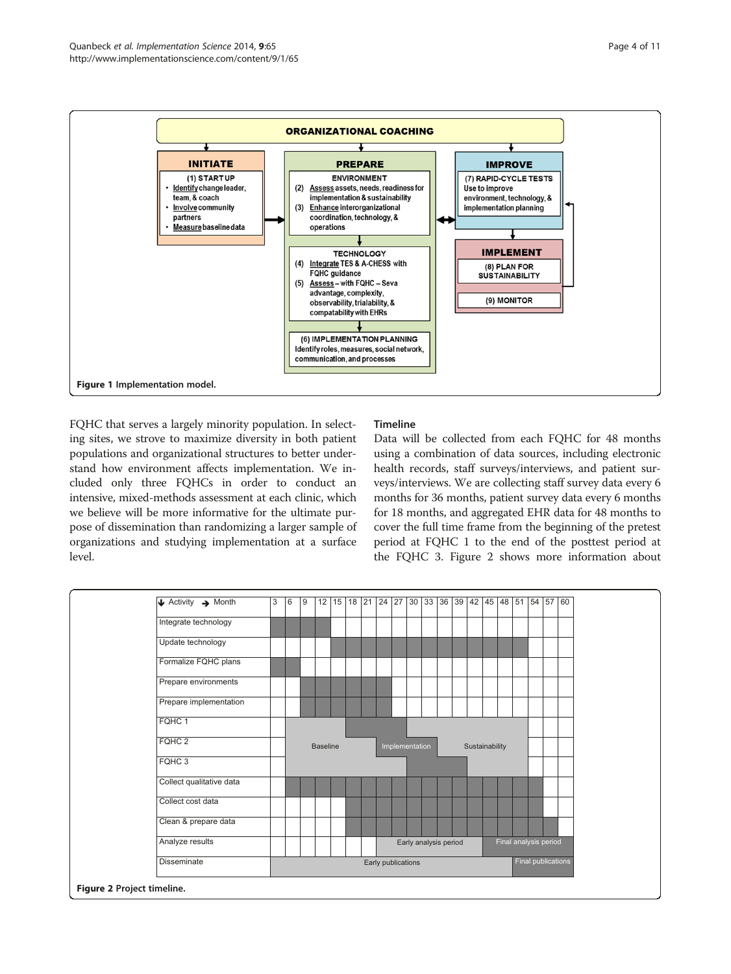<span id="page-3-0"></span>

FQHC that serves a largely minority population. In selecting sites, we strove to maximize diversity in both patient populations and organizational structures to better understand how environment affects implementation. We included only three FQHCs in order to conduct an intensive, mixed-methods assessment at each clinic, which we believe will be more informative for the ultimate purpose of dissemination than randomizing a larger sample of organizations and studying implementation at a surface level.

# Timeline

Data will be collected from each FQHC for 48 months using a combination of data sources, including electronic health records, staff surveys/interviews, and patient surveys/interviews. We are collecting staff survey data every 6 months for 36 months, patient survey data every 6 months for 18 months, and aggregated EHR data for 48 months to cover the full time frame from the beginning of the pretest period at FQHC 1 to the end of the posttest period at the FQHC 3. Figure 2 shows more information about

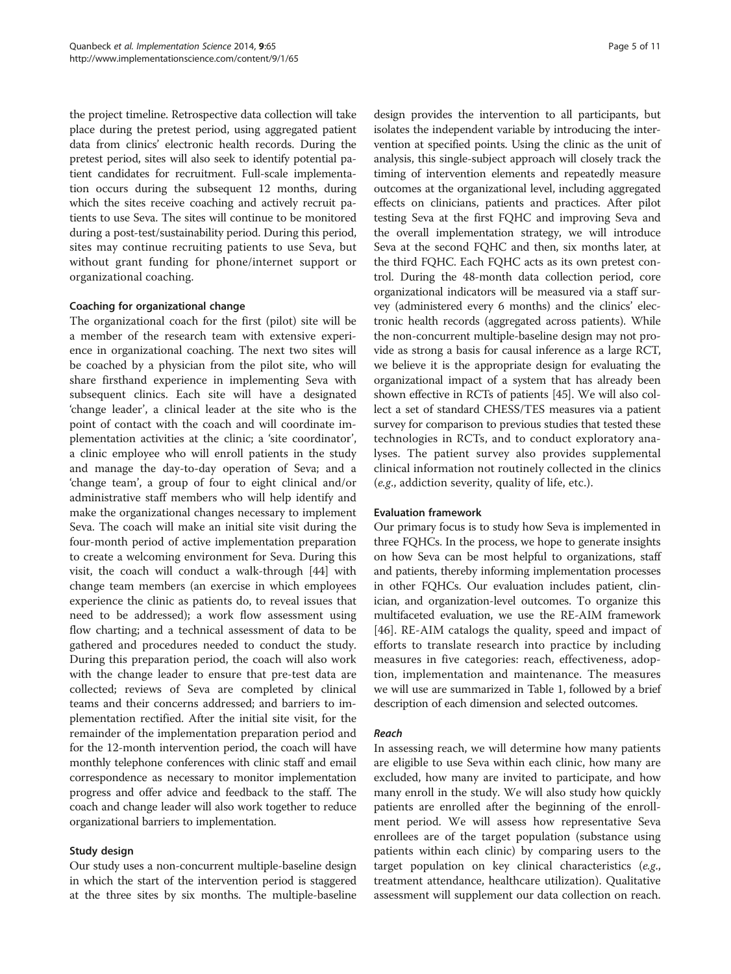the project timeline. Retrospective data collection will take place during the pretest period, using aggregated patient data from clinics' electronic health records. During the pretest period, sites will also seek to identify potential patient candidates for recruitment. Full-scale implementation occurs during the subsequent 12 months, during which the sites receive coaching and actively recruit patients to use Seva. The sites will continue to be monitored during a post-test/sustainability period. During this period, sites may continue recruiting patients to use Seva, but without grant funding for phone/internet support or organizational coaching.

#### Coaching for organizational change

The organizational coach for the first (pilot) site will be a member of the research team with extensive experience in organizational coaching. The next two sites will be coached by a physician from the pilot site, who will share firsthand experience in implementing Seva with subsequent clinics. Each site will have a designated 'change leader', a clinical leader at the site who is the point of contact with the coach and will coordinate implementation activities at the clinic; a 'site coordinator', a clinic employee who will enroll patients in the study and manage the day-to-day operation of Seva; and a 'change team', a group of four to eight clinical and/or administrative staff members who will help identify and make the organizational changes necessary to implement Seva. The coach will make an initial site visit during the four-month period of active implementation preparation to create a welcoming environment for Seva. During this visit, the coach will conduct a walk-through [[44\]](#page-10-0) with change team members (an exercise in which employees experience the clinic as patients do, to reveal issues that need to be addressed); a work flow assessment using flow charting; and a technical assessment of data to be gathered and procedures needed to conduct the study. During this preparation period, the coach will also work with the change leader to ensure that pre-test data are collected; reviews of Seva are completed by clinical teams and their concerns addressed; and barriers to implementation rectified. After the initial site visit, for the remainder of the implementation preparation period and for the 12-month intervention period, the coach will have monthly telephone conferences with clinic staff and email correspondence as necessary to monitor implementation progress and offer advice and feedback to the staff. The coach and change leader will also work together to reduce organizational barriers to implementation.

# Study design

Our study uses a non-concurrent multiple-baseline design in which the start of the intervention period is staggered at the three sites by six months. The multiple-baseline

design provides the intervention to all participants, but isolates the independent variable by introducing the intervention at specified points. Using the clinic as the unit of analysis, this single-subject approach will closely track the timing of intervention elements and repeatedly measure outcomes at the organizational level, including aggregated effects on clinicians, patients and practices. After pilot testing Seva at the first FQHC and improving Seva and the overall implementation strategy, we will introduce Seva at the second FQHC and then, six months later, at the third FQHC. Each FQHC acts as its own pretest control. During the 48-month data collection period, core organizational indicators will be measured via a staff survey (administered every 6 months) and the clinics' electronic health records (aggregated across patients). While the non-concurrent multiple-baseline design may not provide as strong a basis for causal inference as a large RCT, we believe it is the appropriate design for evaluating the organizational impact of a system that has already been shown effective in RCTs of patients [\[45\]](#page-10-0). We will also collect a set of standard CHESS/TES measures via a patient survey for comparison to previous studies that tested these technologies in RCTs, and to conduct exploratory analyses. The patient survey also provides supplemental clinical information not routinely collected in the clinics (e.g., addiction severity, quality of life, etc.).

#### Evaluation framework

Our primary focus is to study how Seva is implemented in three FQHCs. In the process, we hope to generate insights on how Seva can be most helpful to organizations, staff and patients, thereby informing implementation processes in other FQHCs. Our evaluation includes patient, clinician, and organization-level outcomes. To organize this multifaceted evaluation, we use the RE-AIM framework [[46](#page-10-0)]. RE-AIM catalogs the quality, speed and impact of efforts to translate research into practice by including measures in five categories: reach, effectiveness, adoption, implementation and maintenance. The measures we will use are summarized in Table [1](#page-5-0), followed by a brief description of each dimension and selected outcomes.

#### Reach

In assessing reach, we will determine how many patients are eligible to use Seva within each clinic, how many are excluded, how many are invited to participate, and how many enroll in the study. We will also study how quickly patients are enrolled after the beginning of the enrollment period. We will assess how representative Seva enrollees are of the target population (substance using patients within each clinic) by comparing users to the target population on key clinical characteristics (e.g., treatment attendance, healthcare utilization). Qualitative assessment will supplement our data collection on reach.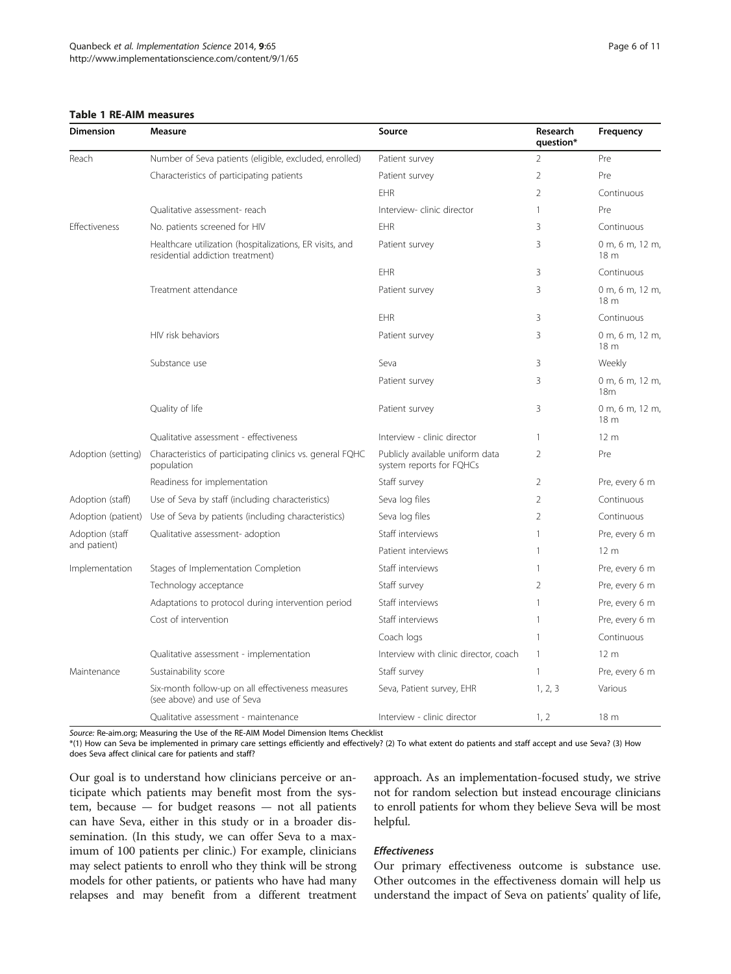#### <span id="page-5-0"></span>Table 1 RE-AIM measures

| <b>Dimension</b>                | Measure                                                                                      | Source                                                      | Research<br>question* | Frequency                          |
|---------------------------------|----------------------------------------------------------------------------------------------|-------------------------------------------------------------|-----------------------|------------------------------------|
| Reach                           | Number of Seva patients (eligible, excluded, enrolled)                                       | Patient survey                                              | $\overline{2}$        | Pre                                |
|                                 | Characteristics of participating patients                                                    | Patient survey                                              | $\overline{2}$        | Pre                                |
|                                 |                                                                                              | <b>FHR</b>                                                  | $\mathfrak{D}$        | Continuous                         |
|                                 | Qualitative assessment-reach                                                                 | Interview- clinic director                                  | $\mathbf{1}$          | Pre                                |
| Effectiveness                   | No. patients screened for HIV                                                                | <b>EHR</b>                                                  | 3                     | Continuous                         |
|                                 | Healthcare utilization (hospitalizations, ER visits, and<br>residential addiction treatment) | Patient survey                                              | 3                     | 0 m, 6 m, 12 m,<br>18 <sub>m</sub> |
|                                 |                                                                                              | <b>FHR</b>                                                  | 3                     | Continuous                         |
|                                 | Treatment attendance                                                                         | Patient survey                                              | 3                     | 0 m, 6 m, 12 m,<br>18 <sub>m</sub> |
|                                 |                                                                                              | EHR                                                         | 3                     | Continuous                         |
|                                 | HIV risk behaviors                                                                           | Patient survey                                              | 3                     | 0 m, 6 m, 12 m,<br>18 <sub>m</sub> |
|                                 | Substance use                                                                                | Seva                                                        | 3                     | Weekly                             |
|                                 |                                                                                              | Patient survey                                              | 3                     | 0 m, 6 m, 12 m,<br>18 <sub>m</sub> |
|                                 | Quality of life                                                                              | Patient survey                                              | 3                     | 0 m, 6 m, 12 m,<br>18 <sub>m</sub> |
|                                 | Qualitative assessment - effectiveness                                                       | Interview - clinic director                                 | $\mathbf{1}$          | 12 <sub>m</sub>                    |
| Adoption (setting)              | Characteristics of participating clinics vs. general FQHC<br>population                      | Publicly available uniform data<br>system reports for FQHCs | $\mathfrak{D}$        | Pre                                |
|                                 | Readiness for implementation                                                                 | Staff survey                                                | 2                     | Pre, every 6 m                     |
| Adoption (staff)                | Use of Seva by staff (including characteristics)                                             | Seva log files                                              | $\overline{2}$        | Continuous                         |
| Adoption (patient)              | Use of Seva by patients (including characteristics)                                          | Seva log files                                              | $\overline{2}$        | Continuous                         |
| Adoption (staff<br>and patient) | Qualitative assessment- adoption                                                             | Staff interviews                                            | $\mathbf{1}$          | Pre, every 6 m                     |
|                                 |                                                                                              | Patient interviews                                          | $\mathbf{1}$          | 12 <sub>m</sub>                    |
| Implementation                  | Stages of Implementation Completion                                                          | Staff interviews                                            | $\mathbf{1}$          | Pre, every 6 m                     |
|                                 | Technology acceptance                                                                        | Staff survey                                                | 2                     | Pre, every 6 m                     |
|                                 | Adaptations to protocol during intervention period                                           | Staff interviews                                            | $\mathbf{1}$          | Pre, every 6 m                     |
|                                 | Cost of intervention                                                                         | Staff interviews                                            | $\mathbf{1}$          | Pre, every 6 m                     |
|                                 |                                                                                              | Coach logs                                                  | $\mathbf{1}$          | Continuous                         |
|                                 | Qualitative assessment - implementation                                                      | Interview with clinic director, coach                       | $\mathbf{1}$          | 12 <sub>m</sub>                    |
| Maintenance                     | Sustainability score                                                                         | Staff survey                                                | $\mathbf{1}$          | Pre, every 6 m                     |
|                                 | Six-month follow-up on all effectiveness measures<br>(see above) and use of Seva             | Seva, Patient survey, EHR                                   | 1, 2, 3               | Various                            |
|                                 | Qualitative assessment - maintenance                                                         | Interview - clinic director                                 | 1, 2                  | 18 <sub>m</sub>                    |

Source: Re-aim.org; Measuring the Use of the RE-AIM Model Dimension Items Checklist

\*(1) How can Seva be implemented in primary care settings efficiently and effectively? (2) To what extent do patients and staff accept and use Seva? (3) How does Seva affect clinical care for patients and staff?

Our goal is to understand how clinicians perceive or anticipate which patients may benefit most from the system, because — for budget reasons — not all patients can have Seva, either in this study or in a broader dissemination. (In this study, we can offer Seva to a maximum of 100 patients per clinic.) For example, clinicians may select patients to enroll who they think will be strong models for other patients, or patients who have had many relapses and may benefit from a different treatment approach. As an implementation-focused study, we strive not for random selection but instead encourage clinicians to enroll patients for whom they believe Seva will be most helpful.

#### Effectiveness

Our primary effectiveness outcome is substance use. Other outcomes in the effectiveness domain will help us understand the impact of Seva on patients' quality of life,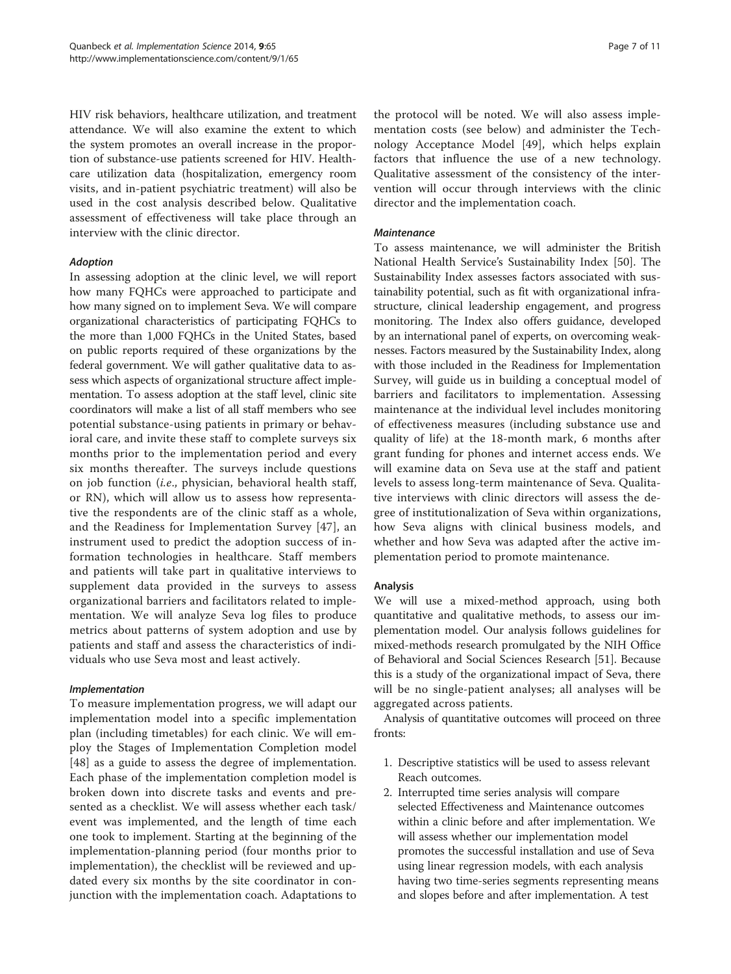HIV risk behaviors, healthcare utilization, and treatment attendance. We will also examine the extent to which the system promotes an overall increase in the proportion of substance-use patients screened for HIV. Healthcare utilization data (hospitalization, emergency room visits, and in-patient psychiatric treatment) will also be used in the cost analysis described below. Qualitative assessment of effectiveness will take place through an interview with the clinic director.

# Adoption

In assessing adoption at the clinic level, we will report how many FQHCs were approached to participate and how many signed on to implement Seva. We will compare organizational characteristics of participating FQHCs to the more than 1,000 FQHCs in the United States, based on public reports required of these organizations by the federal government. We will gather qualitative data to assess which aspects of organizational structure affect implementation. To assess adoption at the staff level, clinic site coordinators will make a list of all staff members who see potential substance-using patients in primary or behavioral care, and invite these staff to complete surveys six months prior to the implementation period and every six months thereafter. The surveys include questions on job function (i.e., physician, behavioral health staff, or RN), which will allow us to assess how representative the respondents are of the clinic staff as a whole, and the Readiness for Implementation Survey [[47](#page-10-0)], an instrument used to predict the adoption success of information technologies in healthcare. Staff members and patients will take part in qualitative interviews to supplement data provided in the surveys to assess organizational barriers and facilitators related to implementation. We will analyze Seva log files to produce metrics about patterns of system adoption and use by patients and staff and assess the characteristics of individuals who use Seva most and least actively.

# Implementation

To measure implementation progress, we will adapt our implementation model into a specific implementation plan (including timetables) for each clinic. We will employ the Stages of Implementation Completion model [[48\]](#page-10-0) as a guide to assess the degree of implementation. Each phase of the implementation completion model is broken down into discrete tasks and events and presented as a checklist. We will assess whether each task/ event was implemented, and the length of time each one took to implement. Starting at the beginning of the implementation-planning period (four months prior to implementation), the checklist will be reviewed and updated every six months by the site coordinator in conjunction with the implementation coach. Adaptations to the protocol will be noted. We will also assess implementation costs (see below) and administer the Technology Acceptance Model [[49\]](#page-10-0), which helps explain factors that influence the use of a new technology. Qualitative assessment of the consistency of the intervention will occur through interviews with the clinic director and the implementation coach.

#### **Maintenance**

To assess maintenance, we will administer the British National Health Service's Sustainability Index [\[50\]](#page-10-0). The Sustainability Index assesses factors associated with sustainability potential, such as fit with organizational infrastructure, clinical leadership engagement, and progress monitoring. The Index also offers guidance, developed by an international panel of experts, on overcoming weaknesses. Factors measured by the Sustainability Index, along with those included in the Readiness for Implementation Survey, will guide us in building a conceptual model of barriers and facilitators to implementation. Assessing maintenance at the individual level includes monitoring of effectiveness measures (including substance use and quality of life) at the 18-month mark, 6 months after grant funding for phones and internet access ends. We will examine data on Seva use at the staff and patient levels to assess long-term maintenance of Seva. Qualitative interviews with clinic directors will assess the degree of institutionalization of Seva within organizations, how Seva aligns with clinical business models, and whether and how Seva was adapted after the active implementation period to promote maintenance.

# Analysis

We will use a mixed-method approach, using both quantitative and qualitative methods, to assess our implementation model. Our analysis follows guidelines for mixed-methods research promulgated by the NIH Office of Behavioral and Social Sciences Research [[51](#page-10-0)]. Because this is a study of the organizational impact of Seva, there will be no single-patient analyses; all analyses will be aggregated across patients.

Analysis of quantitative outcomes will proceed on three fronts:

- 1. Descriptive statistics will be used to assess relevant Reach outcomes.
- 2. Interrupted time series analysis will compare selected Effectiveness and Maintenance outcomes within a clinic before and after implementation. We will assess whether our implementation model promotes the successful installation and use of Seva using linear regression models, with each analysis having two time-series segments representing means and slopes before and after implementation. A test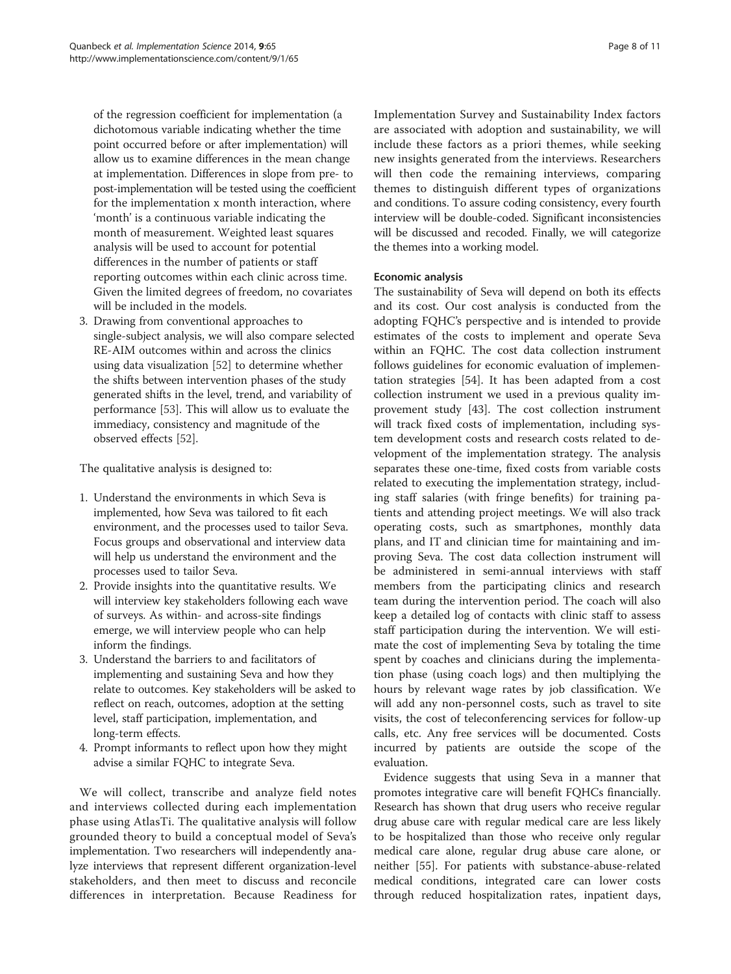of the regression coefficient for implementation (a dichotomous variable indicating whether the time point occurred before or after implementation) will allow us to examine differences in the mean change at implementation. Differences in slope from pre- to post-implementation will be tested using the coefficient for the implementation x month interaction, where 'month' is a continuous variable indicating the month of measurement. Weighted least squares analysis will be used to account for potential differences in the number of patients or staff reporting outcomes within each clinic across time. Given the limited degrees of freedom, no covariates will be included in the models.

3. Drawing from conventional approaches to single-subject analysis, we will also compare selected RE-AIM outcomes within and across the clinics using data visualization [\[52\]](#page-10-0) to determine whether the shifts between intervention phases of the study generated shifts in the level, trend, and variability of performance [\[53\]](#page-10-0). This will allow us to evaluate the immediacy, consistency and magnitude of the observed effects [[52](#page-10-0)].

The qualitative analysis is designed to:

- 1. Understand the environments in which Seva is implemented, how Seva was tailored to fit each environment, and the processes used to tailor Seva. Focus groups and observational and interview data will help us understand the environment and the processes used to tailor Seva.
- 2. Provide insights into the quantitative results. We will interview key stakeholders following each wave of surveys. As within- and across-site findings emerge, we will interview people who can help inform the findings.
- 3. Understand the barriers to and facilitators of implementing and sustaining Seva and how they relate to outcomes. Key stakeholders will be asked to reflect on reach, outcomes, adoption at the setting level, staff participation, implementation, and long-term effects.
- 4. Prompt informants to reflect upon how they might advise a similar FQHC to integrate Seva.

We will collect, transcribe and analyze field notes and interviews collected during each implementation phase using AtlasTi. The qualitative analysis will follow grounded theory to build a conceptual model of Seva's implementation. Two researchers will independently analyze interviews that represent different organization-level stakeholders, and then meet to discuss and reconcile differences in interpretation. Because Readiness for Implementation Survey and Sustainability Index factors are associated with adoption and sustainability, we will include these factors as a priori themes, while seeking new insights generated from the interviews. Researchers will then code the remaining interviews, comparing themes to distinguish different types of organizations and conditions. To assure coding consistency, every fourth interview will be double-coded. Significant inconsistencies will be discussed and recoded. Finally, we will categorize the themes into a working model.

# Economic analysis

The sustainability of Seva will depend on both its effects and its cost. Our cost analysis is conducted from the adopting FQHC's perspective and is intended to provide estimates of the costs to implement and operate Seva within an FQHC. The cost data collection instrument follows guidelines for economic evaluation of implementation strategies [[54\]](#page-10-0). It has been adapted from a cost collection instrument we used in a previous quality improvement study [[43](#page-10-0)]. The cost collection instrument will track fixed costs of implementation, including system development costs and research costs related to development of the implementation strategy. The analysis separates these one-time, fixed costs from variable costs related to executing the implementation strategy, including staff salaries (with fringe benefits) for training patients and attending project meetings. We will also track operating costs, such as smartphones, monthly data plans, and IT and clinician time for maintaining and improving Seva. The cost data collection instrument will be administered in semi-annual interviews with staff members from the participating clinics and research team during the intervention period. The coach will also keep a detailed log of contacts with clinic staff to assess staff participation during the intervention. We will estimate the cost of implementing Seva by totaling the time spent by coaches and clinicians during the implementation phase (using coach logs) and then multiplying the hours by relevant wage rates by job classification. We will add any non-personnel costs, such as travel to site visits, the cost of teleconferencing services for follow-up calls, etc. Any free services will be documented. Costs incurred by patients are outside the scope of the evaluation.

Evidence suggests that using Seva in a manner that promotes integrative care will benefit FQHCs financially. Research has shown that drug users who receive regular drug abuse care with regular medical care are less likely to be hospitalized than those who receive only regular medical care alone, regular drug abuse care alone, or neither [[55\]](#page-10-0). For patients with substance-abuse-related medical conditions, integrated care can lower costs through reduced hospitalization rates, inpatient days,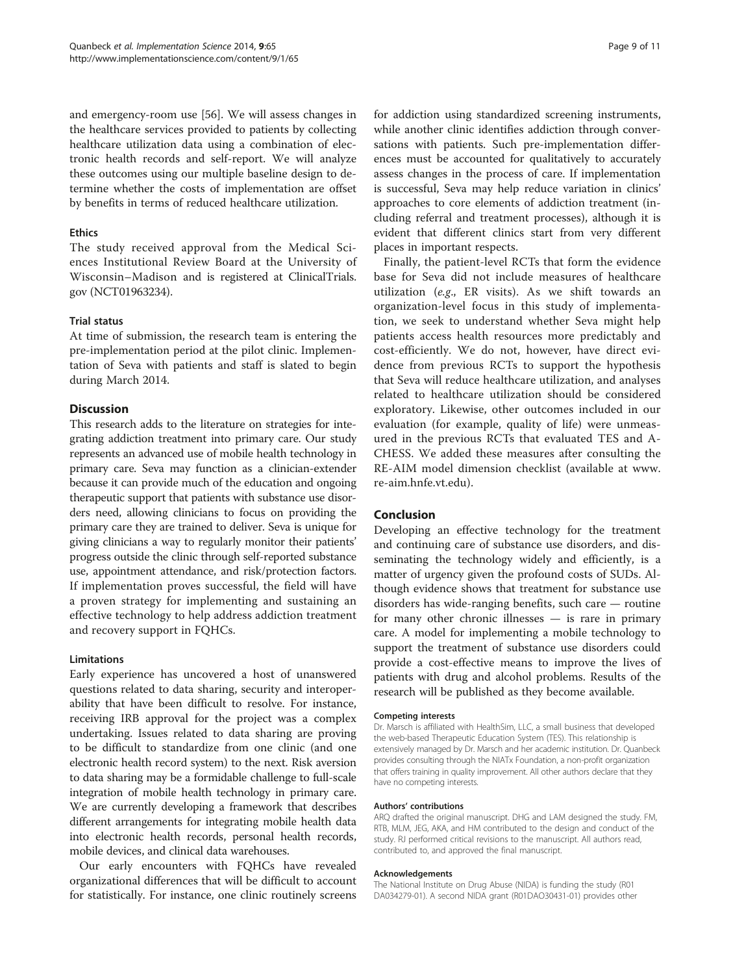and emergency-room use [\[56\]](#page-10-0). We will assess changes in the healthcare services provided to patients by collecting healthcare utilization data using a combination of electronic health records and self-report. We will analyze these outcomes using our multiple baseline design to determine whether the costs of implementation are offset by benefits in terms of reduced healthcare utilization.

#### **Ethics**

The study received approval from the Medical Sciences Institutional Review Board at the University of Wisconsin–Madison and is registered at ClinicalTrials. gov (NCT01963234).

#### Trial status

At time of submission, the research team is entering the pre-implementation period at the pilot clinic. Implementation of Seva with patients and staff is slated to begin during March 2014.

# **Discussion**

This research adds to the literature on strategies for integrating addiction treatment into primary care. Our study represents an advanced use of mobile health technology in primary care. Seva may function as a clinician-extender because it can provide much of the education and ongoing therapeutic support that patients with substance use disorders need, allowing clinicians to focus on providing the primary care they are trained to deliver. Seva is unique for giving clinicians a way to regularly monitor their patients' progress outside the clinic through self-reported substance use, appointment attendance, and risk/protection factors. If implementation proves successful, the field will have a proven strategy for implementing and sustaining an effective technology to help address addiction treatment and recovery support in FQHCs.

#### Limitations

Early experience has uncovered a host of unanswered questions related to data sharing, security and interoperability that have been difficult to resolve. For instance, receiving IRB approval for the project was a complex undertaking. Issues related to data sharing are proving to be difficult to standardize from one clinic (and one electronic health record system) to the next. Risk aversion to data sharing may be a formidable challenge to full-scale integration of mobile health technology in primary care. We are currently developing a framework that describes different arrangements for integrating mobile health data into electronic health records, personal health records, mobile devices, and clinical data warehouses.

Our early encounters with FQHCs have revealed organizational differences that will be difficult to account for statistically. For instance, one clinic routinely screens for addiction using standardized screening instruments, while another clinic identifies addiction through conversations with patients. Such pre-implementation differences must be accounted for qualitatively to accurately assess changes in the process of care. If implementation is successful, Seva may help reduce variation in clinics' approaches to core elements of addiction treatment (including referral and treatment processes), although it is evident that different clinics start from very different places in important respects.

Finally, the patient-level RCTs that form the evidence base for Seva did not include measures of healthcare utilization (e.g., ER visits). As we shift towards an organization-level focus in this study of implementation, we seek to understand whether Seva might help patients access health resources more predictably and cost-efficiently. We do not, however, have direct evidence from previous RCTs to support the hypothesis that Seva will reduce healthcare utilization, and analyses related to healthcare utilization should be considered exploratory. Likewise, other outcomes included in our evaluation (for example, quality of life) were unmeasured in the previous RCTs that evaluated TES and A-CHESS. We added these measures after consulting the RE-AIM model dimension checklist (available at [www.](http://www.re-aim.hnfe.vt.edu) [re-aim.hnfe.vt.edu](http://www.re-aim.hnfe.vt.edu)).

#### Conclusion

Developing an effective technology for the treatment and continuing care of substance use disorders, and disseminating the technology widely and efficiently, is a matter of urgency given the profound costs of SUDs. Although evidence shows that treatment for substance use disorders has wide-ranging benefits, such care — routine for many other chronic illnesses — is rare in primary care. A model for implementing a mobile technology to support the treatment of substance use disorders could provide a cost-effective means to improve the lives of patients with drug and alcohol problems. Results of the research will be published as they become available.

#### Competing interests

Dr. Marsch is affiliated with HealthSim, LLC, a small business that developed the web-based Therapeutic Education System (TES). This relationship is extensively managed by Dr. Marsch and her academic institution. Dr. Quanbeck provides consulting through the NIATx Foundation, a non-profit organization that offers training in quality improvement. All other authors declare that they have no competing interests.

#### Authors' contributions

ARQ drafted the original manuscript. DHG and LAM designed the study. FM, RTB, MLM, JEG, AKA, and HM contributed to the design and conduct of the study. RJ performed critical revisions to the manuscript. All authors read, contributed to, and approved the final manuscript.

#### Acknowledgements

The National Institute on Drug Abuse (NIDA) is funding the study (R01 DA034279-01). A second NIDA grant (R01DAO30431-01) provides other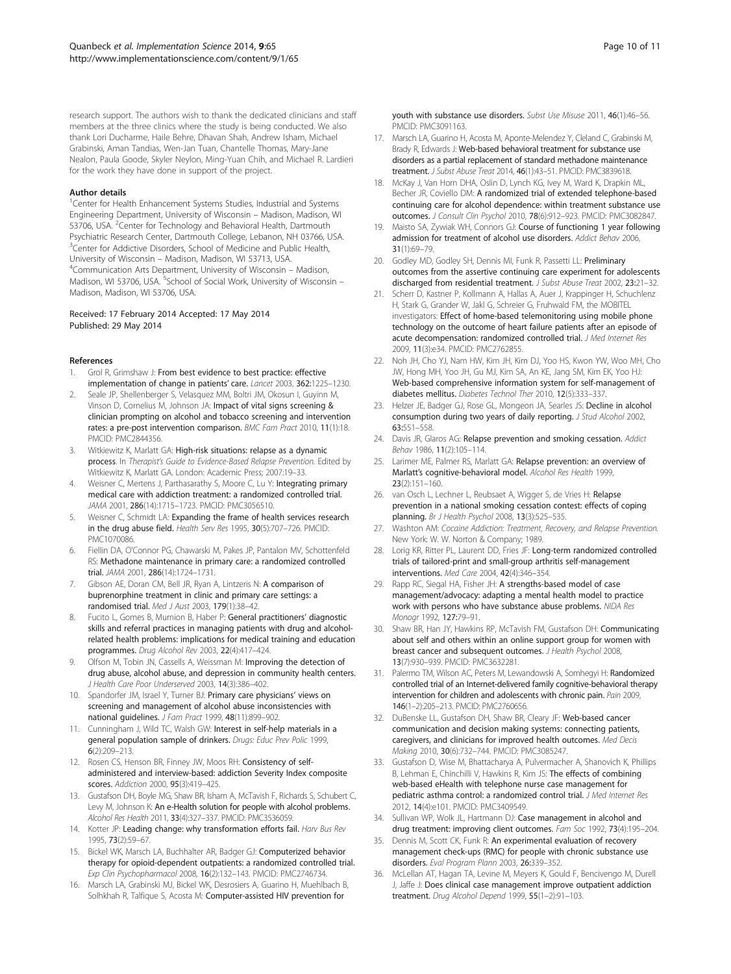<span id="page-9-0"></span>research support. The authors wish to thank the dedicated clinicians and staff members at the three clinics where the study is being conducted. We also thank Lori Ducharme, Haile Behre, Dhavan Shah, Andrew Isham, Michael Grabinski, Aman Tandias, Wen-Jan Tuan, Chantelle Thomas, Mary-Jane Nealon, Paula Goode, Skyler Neylon, Ming-Yuan Chih, and Michael R. Lardieri for the work they have done in support of the project.

#### Author details

<sup>1</sup> Center for Health Enhancement Systems Studies, Industrial and Systems Engineering Department, University of Wisconsin – Madison, Madison, WI 53706, USA. <sup>2</sup>Center for Technology and Behavioral Health, Dartmouth Psychiatric Research Center, Dartmouth College, Lebanon, NH 03766, USA. <sup>3</sup> Center for Addictive Disorders, School of Medicine and Public Health, University of Wisconsin – Madison, Madison, WI 53713, USA. <sup>4</sup> <sup>4</sup> Communication Arts Department, University of Wisconsin – Madison, Madison, WI 53706, USA. <sup>5</sup>School of Social Work, University of Wisconsin – Madison, Madison, WI 53706, USA.

#### Received: 17 February 2014 Accepted: 17 May 2014 Published: 29 May 2014

#### References

- Grol R, Grimshaw J: From best evidence to best practice: effective implementation of change in patients' care. Lancet 2003, 362:1225–1230.
- Seale JP, Shellenberger S, Velasquez MM, Boltri JM, Okosun I, Guyinn M, Vinson D, Cornelius M, Johnson JA: Impact of vital signs screening & clinician prompting on alcohol and tobacco screening and intervention rates: a pre-post intervention comparison. BMC Fam Pract 2010, 11(1):18. PMCID: PMC2844356.
- 3. Witkiewitz K, Marlatt GA: High-risk situations: relapse as a dynamic process. In Therapist's Guide to Evidence-Based Relapse Prevention. Edited by Witkiewitz K, Marlatt GA. London: Academic Press; 2007:19–33.
- 4. Weisner C, Mertens J, Parthasarathy S, Moore C, Lu Y: Integrating primary medical care with addiction treatment: a randomized controlled trial. JAMA 2001, 286(14):1715-1723. PMCID: PMC3056510.
- Weisner C, Schmidt LA: Expanding the frame of health services research in the drug abuse field. Health Serv Res 1995, 30(5):707–726. PMCID: PMC1070086.
- 6. Fiellin DA, O'Connor PG, Chawarski M, Pakes JP, Pantalon MV, Schottenfeld RS: Methadone maintenance in primary care: a randomized controlled trial. JAMA 2001, 286(14):1724–1731.
- Gibson AE, Doran CM, Bell JR, Ryan A, Lintzeris N: A comparison of buprenorphine treatment in clinic and primary care settings: a randomised trial. Med J Aust 2003, 179(1):38–42.
- 8. Fucito L, Gomes B, Murnion B, Haber P: General practitioners' diagnostic skills and referral practices in managing patients with drug and alcoholrelated health problems: implications for medical training and education programmes. Drug Alcohol Rev 2003, 22(4):417–424.
- 9. Olfson M, Tobin JN, Cassells A, Weissman M: Improving the detection of drug abuse, alcohol abuse, and depression in community health centers. J Health Care Poor Underserved 2003, 14(3):386–402.
- 10. Spandorfer JM, Israel Y, Turner BJ: Primary care physicians' views on screening and management of alcohol abuse inconsistencies with national guidelines. J Fam Pract 1999, 48(11):899–902.
- 11. Cunningham J, Wild TC, Walsh GW: Interest in self-help materials in a general population sample of drinkers. Drugs: Educ Prev Polic 1999,  $6(2):209-213$
- 12. Rosen CS, Henson BR, Finney JW, Moos RH: Consistency of selfadministered and interview-based: addiction Severity Index composite scores. Addiction 2000, 95(3):419–425.
- 13. Gustafson DH, Boyle MG, Shaw BR, Isham A, McTavish F, Richards S, Schubert C, Levy M, Johnson K: An e-Health solution for people with alcohol problems. Alcohol Res Health 2011, 33(4):327–337. PMCID: PMC3536059.
- 14. Kotter JP: Leading change: why transformation efforts fail. Harv Bus Rev 1995, 73(2):59–67.
- 15. Bickel WK, Marsch LA, Buchhalter AR, Badger GJ: Computerized behavior therapy for opioid-dependent outpatients: a randomized controlled trial. Exp Clin Psychopharmacol 2008, 16(2):132–143. PMCID: PMC2746734.
- 16. Marsch LA, Grabinski MJ, Bickel WK, Desrosiers A, Guarino H, Muehlbach B, Solhkhah R, Talfique S, Acosta M: Computer-assisted HIV prevention for

youth with substance use disorders. Subst Use Misuse 2011, 46(1):46–56. PMCID: PMC3091163.

- 17. Marsch LA, Guarino H, Acosta M, Aponte-Melendez Y, Cleland C, Grabinski M, Brady R, Edwards J: Web-based behavioral treatment for substance use disorders as a partial replacement of standard methadone maintenance treatment. J Subst Abuse Treat 2014, 46(1):43–51. PMCID: PMC3839618.
- 18. McKay J, Van Horn DHA, Oslin D, Lynch KG, Ivey M, Ward K, Drapkin ML, Becher JR, Coviello DM: A randomized trial of extended telephone-based continuing care for alcohol dependence: within treatment substance use outcomes. J Consult Clin Psychol 2010, 78(6):912–923. PMCID: PMC3082847.
- 19. Maisto SA, Zywiak WH, Connors GJ: Course of functioning 1 year following admission for treatment of alcohol use disorders. Addict Behav 2006, 31(1):69–79.
- 20. Godley MD, Godley SH, Dennis MI, Funk R, Passetti LL: Preliminary outcomes from the assertive continuing care experiment for adolescents discharged from residential treatment. J Subst Abuse Treat 2002, 23:21-32.
- 21. Scherr D, Kastner P, Kollmann A, Hallas A, Auer J, Krappinger H, Schuchlenz H, Stark G, Grander W, Jakl G, Schreier G, Fruhwald FM, the MOBITEL investigators: Effect of home-based telemonitoring using mobile phone technology on the outcome of heart failure patients after an episode of acute decompensation: randomized controlled trial. J Med Internet Res 2009, 11(3):e34. PMCID: PMC2762855.
- 22. Noh JH, Cho YJ, Nam HW, Kim JH, Kim DJ, Yoo HS, Kwon YW, Woo MH, Cho JW, Hong MH, Yoo JH, Gu MJ, Kim SA, An KE, Jang SM, Kim EK, Yoo HJ: Web-based comprehensive information system for self-management of diabetes mellitus. Diabetes Technol Ther 2010, 12(5):333–337.
- 23. Helzer JE, Badger GJ, Rose GL, Mongeon JA, Searles JS: Decline in alcohol consumption during two years of daily reporting. J Stud Alcohol 2002, 63:551–558.
- 24. Davis JR, Glaros AG: Relapse prevention and smoking cessation. Addict Behav 1986, 11(2):105–114.
- 25. Larimer ME, Palmer RS, Marlatt GA: Relapse prevention: an overview of Marlatt's cognitive-behavioral model. Alcohol Res Health 1999, 23(2):151–160.
- 26. van Osch L, Lechner L, Reubsaet A, Wigger S, de Vries H: Relapse prevention in a national smoking cessation contest: effects of coping planning. Br J Health Psychol 2008, 13(3):525–535.
- 27. Washton AM: Cocaine Addiction: Treatment, Recovery, and Relapse Prevention. New York: W. W. Norton & Company; 1989.
- 28. Lorig KR, Ritter PL, Laurent DD, Fries JF: Long-term randomized controlled trials of tailored-print and small-group arthritis self-management interventions. Med Care 2004, 42(4):346–354.
- 29. Rapp RC, Siegal HA, Fisher JH: A strengths-based model of case management/advocacy: adapting a mental health model to practice work with persons who have substance abuse problems. NIDA Res Monogr 1992, 127:79–91.
- 30. Shaw BR, Han JY, Hawkins RP, McTavish FM, Gustafson DH: Communicating about self and others within an online support group for women with breast cancer and subsequent outcomes. J Health Psychol 2008, 13(7):930–939. PMCID: PMC3632281.
- 31. Palermo TM, Wilson AC, Peters M, Lewandowski A, Somhegyi H: Randomized controlled trial of an Internet-delivered family cognitive-behavioral therapy intervention for children and adolescents with chronic pain. Pain 2009, 146(1–2):205–213. PMCID: PMC2760656.
- 32. DuBenske LL, Gustafson DH, Shaw BR, Cleary JF: Web-based cancer communication and decision making systems: connecting patients, caregivers, and clinicians for improved health outcomes. Med Decis Making 2010, 30(6):732–744. PMCID: PMC3085247.
- 33. Gustafson D, Wise M, Bhattacharya A, Pulvermacher A, Shanovich K, Phillips B, Lehman E, Chinchilli V, Hawkins R, Kim JS: The effects of combining web-based eHealth with telephone nurse case management for pediatric asthma control: a randomized control trial. J Med Internet Res 2012, 14(4):e101. PMCID: PMC3409549.
- 34. Sullivan WP, Wolk JL, Hartmann DJ: Case management in alcohol and drug treatment: improving client outcomes. Fam Soc 1992, 73(4):195–204.
- 35. Dennis M, Scott CK, Funk R: An experimental evaluation of recovery management check-ups (RMC) for people with chronic substance use disorders. Eval Program Plann 2003, 26:339–352.
- 36. McLellan AT, Hagan TA, Levine M, Meyers K, Gould F, Bencivengo M, Durell J, Jaffe J: Does clinical case management improve outpatient addiction treatment. Drug Alcohol Depend 1999, 55(1-2):91-103.